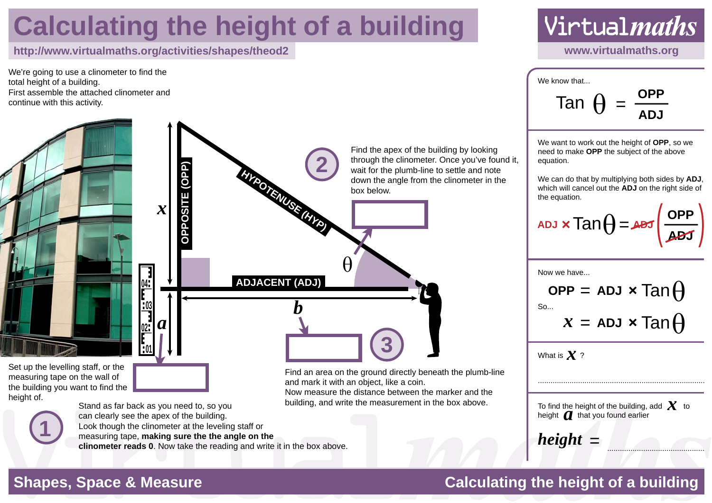## **Calculating the height of a building**

### **http://www.virtualmaths.org/activities/shapes/theod2 www.virtualmaths.org**

**01**

**02**

<u>บง</u>

*a*

*x*

**04**

**OPPOSITE (OPP)**

OPPOSITE (OPP)

We're going to use a clinometer to find the total height of a building. First assemble the attached clinometer and continue with this activity.

Set up the levelling staff, or the measuring tape on the wall of the building you want to find the height of.



Stand as far back as you need to, so you can clearly see the apex of the building. Look though the clinometer at the leveling staff or measuring tape, **making sure the the angle on the clinometer reads 0**. Now take the reading and write it in the box above.

Find the apex of the building by looking through the clinometer. Once you've found it, wait for the plumb-line to settle and note down the angle from the clinometer in the box below.

**HYPOTENUSE (HYP) ADJACENT (ADJ)** *b* θ

**2**

Find an area on the ground directly beneath the plumb-line and mark it with an object, like a coin.

**3**

Now measure the distance between the marker and the building, and write the measurement in the box above.



We know that... Tan **ADJ**

We want to work out the height of **OPP**, so we need to make **OPP** the subject of the above equation.

We can do that by multiplying both sides by **ADJ**, which will cancel out the **ADJ** on the right side of the equation.

**ADJ ADJ**  $\text{Tan}\theta = \text{det}\left(\frac{\text{OPP}}{\text{ADJ}}\right)$ height of OPP, so we<br>subject of the above<br>blying both sides by ADJ,<br>ADJ on the right side of<br> $\equiv$  $\sqrt{20}$ 

Now we have...

 $S<sub>0</sub>$ **OPP**  $x =$  ADJ  $\times$  Tan $\bigoplus$  $=$  **ADJ**  $\times$  Tan $\theta$ 

What is  $\boldsymbol{\mathcal{X}}$  ?

To find the height of the building, add  $\chi$  to 10 lind the height of the building,<br>height  $\alpha$  that you found earlier

..............................................

...............................................................................

 $height =$ 

### **Shapes, Space & Measure Calculating the height of a building**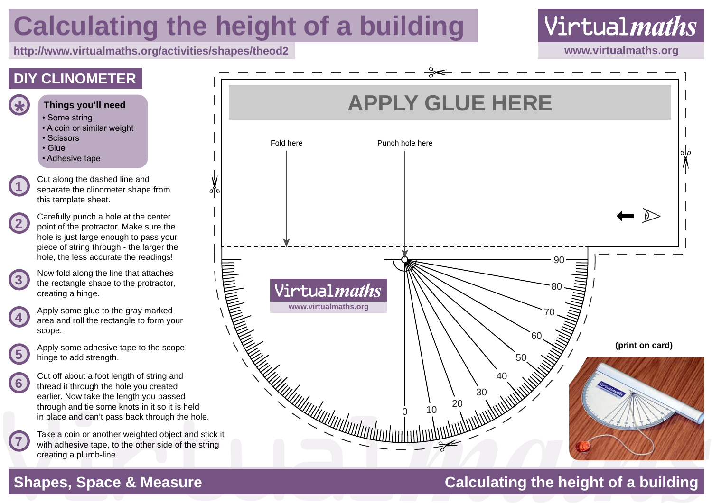# **Calculating the height of a building**

**http://www.virtualmaths.org/activities/shapes/theod2 www.virtualmaths.org**





**1**